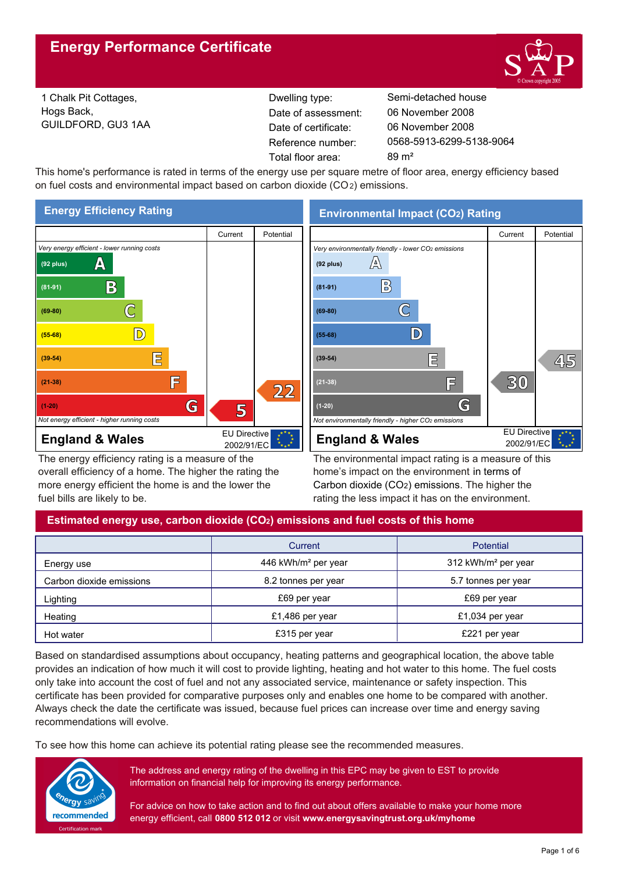

1 Chalk Pit Cottages, Hogs Back, GUILDFORD, GU3 1AA Reference number: Date of certificate: Total floor area: 89 m<sup>2</sup> Date of assessment:

Dwelling type: Semi-detached house 0568-5913-6299-5138-9064 06 November 2008 06 November 2008

This home's performance is rated in terms of the energy use per square metre of floor area, energy efficiency based on fuel costs and environmental impact based on carbon dioxide (CO2) emissions.



The energy efficiency rating is a measure of the overall efficiency of a home. The higher the rating the more energy efficient the home is and the lower the fuel bills are likely to be.

## **Environmental Impact (CO2) Rating**



The environmental impact rating is a measure of this home's impact on the environment in terms of Carbon dioxide (CO2) emissions. The higher the rating the less impact it has on the environment.

# **Estimated energy use, carbon dioxide (CO2) emissions and fuel costs of this home**

|                          | Current                         | <b>Potential</b>                |  |
|--------------------------|---------------------------------|---------------------------------|--|
| Energy use               | 446 kWh/m <sup>2</sup> per year | 312 kWh/m <sup>2</sup> per year |  |
| Carbon dioxide emissions | 8.2 tonnes per year             | 5.7 tonnes per year             |  |
| Lighting                 | £69 per year                    | £69 per year                    |  |
| Heating                  | £1,486 per year                 | £1,034 per year                 |  |
| Hot water                | £315 per year                   | £221 per year                   |  |

Based on standardised assumptions about occupancy, heating patterns and geographical location, the above table provides an indication of how much it will cost to provide lighting, heating and hot water to this home. The fuel costs only take into account the cost of fuel and not any associated service, maintenance or safety inspection. This certificate has been provided for comparative purposes only and enables one home to be compared with another. Always check the date the certificate was issued, because fuel prices can increase over time and energy saving recommendations will evolve.

To see how this home can achieve its potential rating please see the recommended measures.



The address and energy rating of the dwelling in this EPC may be given to EST to provide information on financial help for improving its energy performance.

For advice on how to take action and to find out about offers available to make your home more energy efficient, call **0800 512 012** or visit **www.energysavingtrust.org.uk/myhome**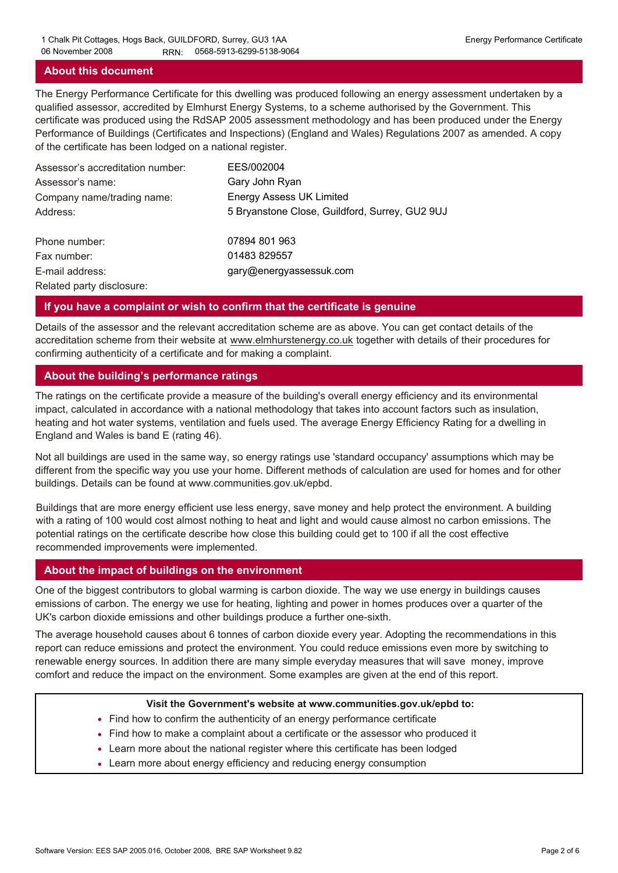## **About this document**

The Energy Performance Certificate for this dwelling was produced following an energy assessment undertaken by a qualified assessor, accredited by Elmhurst Energy Systems, to a scheme authorised by the Government. This certificate was produced using the RdSAP 2005 assessment methodology and has been produced under the Energy Performance of Buildings (Certificates and Inspections) (England and Wales) Regulations 2007 as amended. A copy of the certificate has been lodged on a national register.

| Assessor's accreditation number: | EES/002004                                     |
|----------------------------------|------------------------------------------------|
| Assessor's name:                 | Gary John Ryan                                 |
| Company name/trading name:       | <b>Energy Assess UK Limited</b>                |
| Address:                         | 5 Bryanstone Close, Guildford, Surrey, GU2 9UJ |
| Phone number:                    | 07894 801 963                                  |
| Fax number:                      | 01483 829557                                   |
| E-mail address:                  | gary@energyassessuk.com                        |
| Related party disclosure:        |                                                |

#### **If you have a complaint or wish to confirm that the certificate is genuine**

Details of the assessor and the relevant accreditation scheme are as above. You can get contact details of the accreditation scheme from their website at www.elmhurstenergy.co.uk together with details of their procedures for confirming authenticity of a certificate and for making a complaint.

## **About the building's performance ratings**

The ratings on the certificate provide a measure of the building's overall energy efficiency and its environmental impact, calculated in accordance with a national methodology that takes into account factors such as insulation, heating and hot water systems, ventilation and fuels used. The average Energy Efficiency Rating for a dwelling in England and Wales is band E (rating 46).

Not all buildings are used in the same way, so energy ratings use 'standard occupancy' assumptions which may be different from the specific way you use your home. Different methods of calculation are used for homes and for other buildings. Details can be found at www.communities.gov.uk/epbd.

Buildings that are more energy efficient use less energy, save money and help protect the environment. A building with a rating of 100 would cost almost nothing to heat and light and would cause almost no carbon emissions. The potential ratings on the certificate describe how close this building could get to 100 if all the cost effective recommended improvements were implemented.

#### **About the impact of buildings on the environment**

One of the biggest contributors to global warming is carbon dioxide. The way we use energy in buildings causes emissions of carbon. The energy we use for heating, lighting and power in homes produces over a quarter of the UK's carbon dioxide emissions and other buildings produce a further one-sixth.

The average household causes about 6 tonnes of carbon dioxide every year. Adopting the recommendations in this report can reduce emissions and protect the environment. You could reduce emissions even more by switching to renewable energy sources. In addition there are many simple everyday measures that will save money, improve comfort and reduce the impact on the environment. Some examples are given at the end of this report.

#### **Visit the Government's website at www.communities.gov.uk/epbd to:**

- Find how to confirm the authenticity of an energy performance certificate
- Find how to make a complaint about a certificate or the assessor who produced it •
- Learn more about the national register where this certificate has been lodged •
- Learn more about energy efficiency and reducing energy consumption •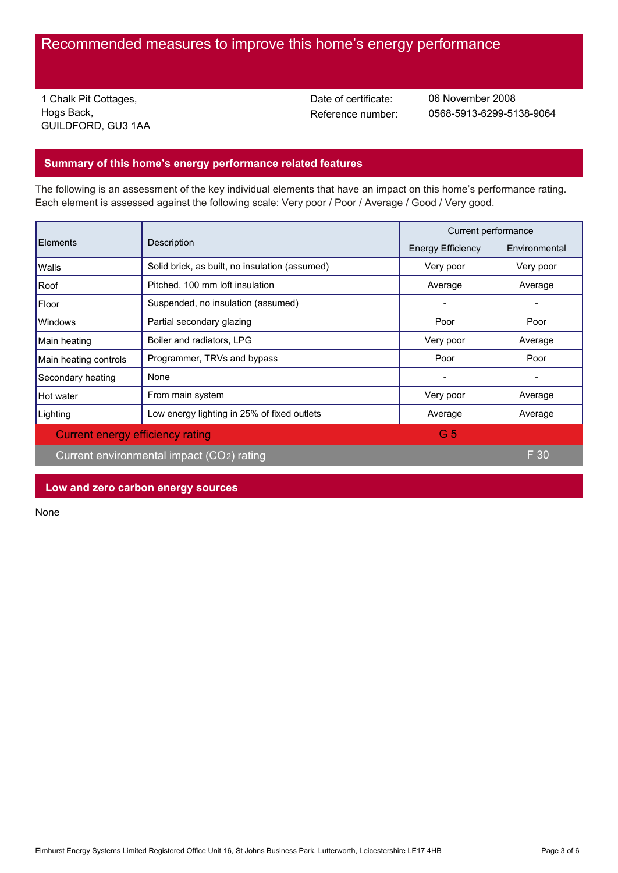# Recommended measures to improve this home's energy performance

1 Chalk Pit Cottages, Hogs Back, GUILDFORD, GU3 1AA Date of certificate:

Reference number: 0568-5913-6299-5138-9064 06 November 2008

## **Summary of this home's energy performance related features**

The following is an assessment of the key individual elements that have an impact on this home's performance rating. Each element is assessed against the following scale: Very poor / Poor / Average / Good / Very good.

| Elements                                  | Description                                    | Current performance      |               |
|-------------------------------------------|------------------------------------------------|--------------------------|---------------|
|                                           |                                                | <b>Energy Efficiency</b> | Environmental |
| Walls                                     | Solid brick, as built, no insulation (assumed) | Very poor                | Very poor     |
| Roof                                      | Pitched, 100 mm loft insulation                | Average                  | Average       |
| Floor                                     | Suspended, no insulation (assumed)             |                          |               |
| Windows                                   | Partial secondary glazing                      | Poor                     | Poor          |
| Main heating                              | Boiler and radiators, LPG                      | Very poor                | Average       |
| Main heating controls                     | Programmer, TRVs and bypass                    | Poor                     | Poor          |
| Secondary heating                         | None                                           |                          |               |
| Hot water                                 | From main system                               | Very poor                | Average       |
| Lighting                                  | Low energy lighting in 25% of fixed outlets    | Average                  | Average       |
| Current energy efficiency rating          |                                                | G <sub>5</sub>           |               |
| Current environmental impact (CO2) rating |                                                |                          | F 30          |

**Low and zero carbon energy sources**

None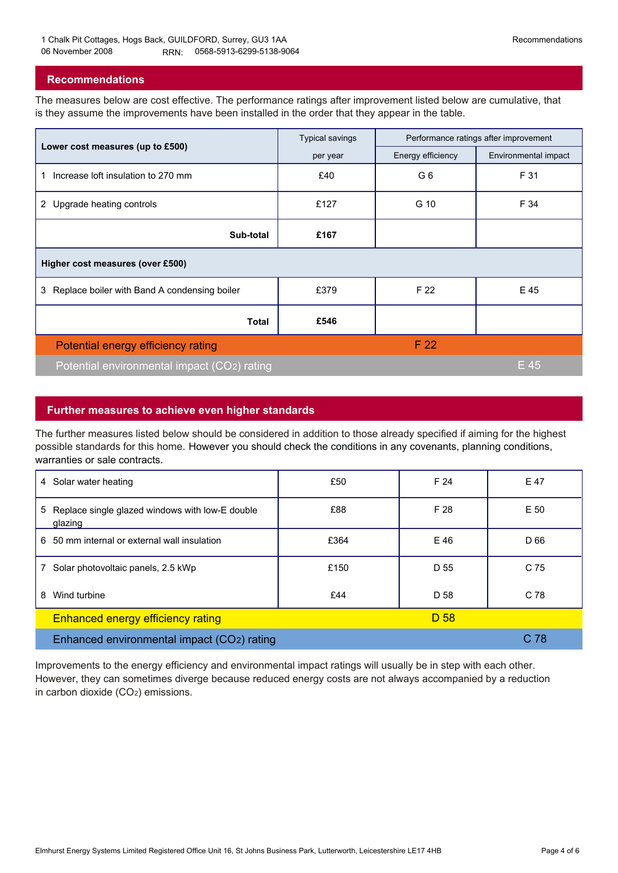## **Recommendations**

The measures below are cost effective. The performance ratings after improvement listed below are cumulative, that is they assume the improvements have been installed in the order that they appear in the table.

|                                                   | <b>Typical savings</b> | Performance ratings after improvement |                      |  |  |
|---------------------------------------------------|------------------------|---------------------------------------|----------------------|--|--|
| Lower cost measures (up to £500)                  | per year               | Energy efficiency                     | Environmental impact |  |  |
| Increase loft insulation to 270 mm<br>1.          | £40                    | G <sub>6</sub>                        | F 31                 |  |  |
| 2 Upgrade heating controls                        | £127                   | G 10                                  | F 34                 |  |  |
| Sub-total                                         | £167                   |                                       |                      |  |  |
| Higher cost measures (over £500)                  |                        |                                       |                      |  |  |
| Replace boiler with Band A condensing boiler<br>3 | £379                   | F 22                                  | E 45                 |  |  |
| <b>Total</b>                                      | £546                   |                                       |                      |  |  |
| Potential energy efficiency rating                |                        | F <sub>22</sub>                       |                      |  |  |
| Potential environmental impact (CO2) rating       |                        |                                       | E 45                 |  |  |

## **Further measures to achieve even higher standards**

The further measures listed below should be considered in addition to those already specified if aiming for the highest possible standards for this home. However you should check the conditions in any covenants, planning conditions, warranties or sale contracts.

| 4 Solar water heating                                           | £50  | F 24 | E 47 |
|-----------------------------------------------------------------|------|------|------|
| 5<br>Replace single glazed windows with low-E double<br>glazing | £88  | F 28 | E 50 |
| 50 mm internal or external wall insulation<br>6                 | £364 | E 46 | D 66 |
| Solar photovoltaic panels, 2.5 kWp                              | £150 | D 55 | C 75 |
| Wind turbine<br>8                                               | £44  | D 58 | C 78 |
| <b>Enhanced energy efficiency rating</b><br>D 58                |      |      |      |
| Enhanced environmental impact (CO2) rating                      |      |      | C 78 |

Improvements to the energy efficiency and environmental impact ratings will usually be in step with each other. However, they can sometimes diverge because reduced energy costs are not always accompanied by a reduction in carbon dioxide (CO2) emissions.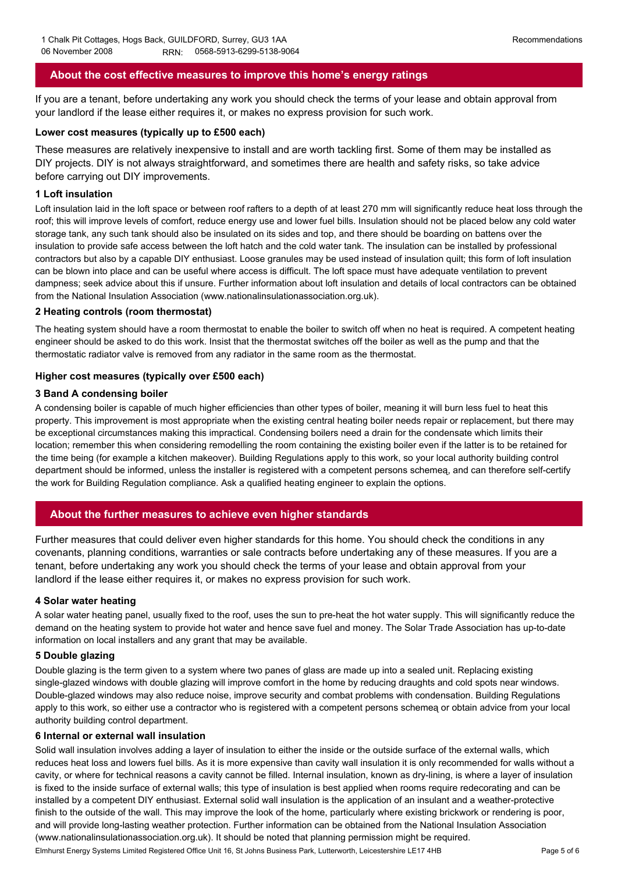## **About the cost effective measures to improve this home's energy ratings**

If you are a tenant, before undertaking any work you should check the terms of your lease and obtain approval from your landlord if the lease either requires it, or makes no express provision for such work.

#### **Lower cost measures (typically up to £500 each)**

These measures are relatively inexpensive to install and are worth tackling first. Some of them may be installed as DIY projects. DIY is not always straightforward, and sometimes there are health and safety risks, so take advice before carrying out DIY improvements.

#### **1 Loft insulation**

Loft insulation laid in the loft space or between roof rafters to a depth of at least 270 mm will significantly reduce heat loss through the roof; this will improve levels of comfort, reduce energy use and lower fuel bills. Insulation should not be placed below any cold water storage tank, any such tank should also be insulated on its sides and top, and there should be boarding on battens over the insulation to provide safe access between the loft hatch and the cold water tank. The insulation can be installed by professional contractors but also by a capable DIY enthusiast. Loose granules may be used instead of insulation quilt; this form of loft insulation can be blown into place and can be useful where access is difficult. The loft space must have adequate ventilation to prevent dampness; seek advice about this if unsure. Further information about loft insulation and details of local contractors can be obtained from the National Insulation Association (www.nationalinsulationassociation.org.uk).

#### **2 Heating controls (room thermostat)**

The heating system should have a room thermostat to enable the boiler to switch off when no heat is required. A competent heating engineer should be asked to do this work. Insist that the thermostat switches off the boiler as well as the pump and that the thermostatic radiator valve is removed from any radiator in the same room as the thermostat.

#### **Higher cost measures (typically over £500 each)**

#### **3 Band A condensing boiler**

A condensing boiler is capable of much higher efficiencies than other types of boiler, meaning it will burn less fuel to heat this property. This improvement is most appropriate when the existing central heating boiler needs repair or replacement, but there may be exceptional circumstances making this impractical. Condensing boilers need a drain for the condensate which limits their location; remember this when considering remodelling the room containing the existing boiler even if the latter is to be retained for the time being (for example a kitchen makeover). Building Regulations apply to this work, so your local authority building control department should be informed, unless the installer is registered with a competent persons schemeą, and can therefore self-certify the work for Building Regulation compliance. Ask a qualified heating engineer to explain the options.

## **About the further measures to achieve even higher standards**

Further measures that could deliver even higher standards for this home. You should check the conditions in any covenants, planning conditions, warranties or sale contracts before undertaking any of these measures. If you are a tenant, before undertaking any work you should check the terms of your lease and obtain approval from your landlord if the lease either requires it, or makes no express provision for such work.

#### **4 Solar water heating**

A solar water heating panel, usually fixed to the roof, uses the sun to pre-heat the hot water supply. This will significantly reduce the demand on the heating system to provide hot water and hence save fuel and money. The Solar Trade Association has up-to-date information on local installers and any grant that may be available.

#### **5 Double glazing**

Double glazing is the term given to a system where two panes of glass are made up into a sealed unit. Replacing existing single-glazed windows with double glazing will improve comfort in the home by reducing draughts and cold spots near windows. Double-glazed windows may also reduce noise, improve security and combat problems with condensation. Building Regulations apply to this work, so either use a contractor who is registered with a competent persons schemeą or obtain advice from your local authority building control department.

#### **6 Internal or external wall insulation**

Solid wall insulation involves adding a layer of insulation to either the inside or the outside surface of the external walls, which reduces heat loss and lowers fuel bills. As it is more expensive than cavity wall insulation it is only recommended for walls without a cavity, or where for technical reasons a cavity cannot be filled. Internal insulation, known as dry-lining, is where a layer of insulation is fixed to the inside surface of external walls; this type of insulation is best applied when rooms require redecorating and can be installed by a competent DIY enthusiast. External solid wall insulation is the application of an insulant and a weather-protective finish to the outside of the wall. This may improve the look of the home, particularly where existing brickwork or rendering is poor, and will provide long-lasting weather protection. Further information can be obtained from the National Insulation Association (www.nationalinsulationassociation.org.uk). It should be noted that planning permission might be required. Elmhurst Energy Systems Limited Registered Office Unit 16, St Johns Business Park, Lutterworth, Leicestershire LE17 4HB Page 5 of 6